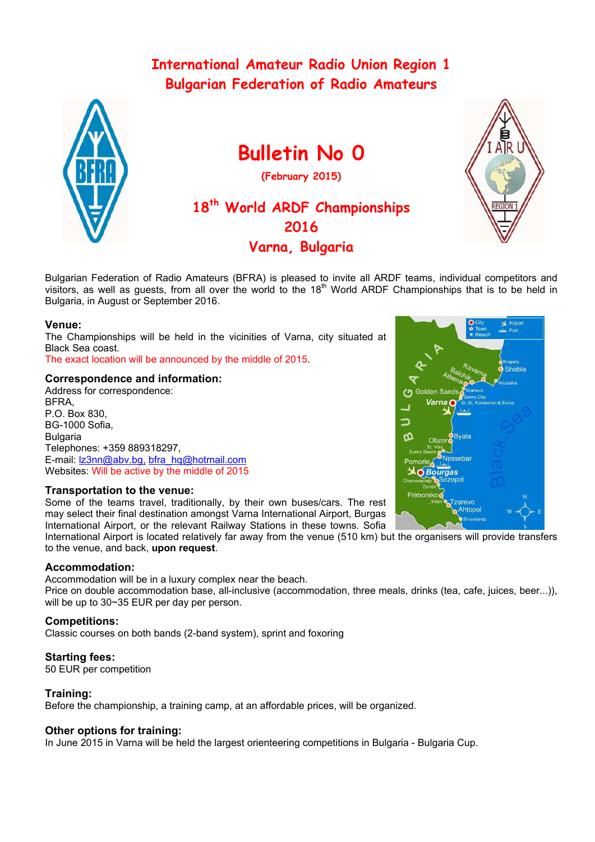# **International Amateur Radio Union Region 1 Bulgarian Federation of Radio Amateurs**



# **Bulletin No 0**

**(February 2015)** 

# **18th World ARDF Championships 2016 Varna, Bulgaria**



Bulgarian Federation of Radio Amateurs (BFRA) is pleased to invite all ARDF teams, individual competitors and visitors, as well as guests, from all over the world to the 18<sup>th</sup> World ARDF Championships that is to be held in Bulgaria, in August or September 2016.

## **Venue:**

The Championships will be held in the vicinities of Varna, city situated at Black Sea coast.

The exact location will be announced by the middle of 2015.

## **Correspondence and information:**

Address for correspondence: **BFRA** P.O. Box 830, BG-1000 Sofia, Bulgaria Telephones: +359 889318297, E-mail: Iz3nn@abv.bg, bfra\_hq@hotmail.com Websites: Will be active by the middle of 2015

### **Transportation to the venue:**

Some of the teams travel, traditionally, by their own buses/cars. The rest may select their final destination amongst Varna International Airport, Burgas International Airport, or the relevant Railway Stations in these towns. Sofia

International Airport is located relatively far away from the venue (510 km) but the organisers will provide transfers to the venue, and back, **upon request**.

### **Accommodation:**

Accommodation will be in a luxury complex near the beach. Price on double accommodation base, all-inclusive (accommodation, three meals, drinks (tea, cafe, juices, beer...)), will be up to 30~35 EUR per day per person.

# **Competitions:**

Classic courses on both bands (2-band system), sprint and foxoring

# **Starting fees:**

50 EUR per competition

### **Training:**

Before the championship, a training camp, at an affordable prices, will be organized.

# **Other options for training:**

In June 2015 in Varna will be held the largest orienteering competitions in Bulgaria - Bulgaria Cup.

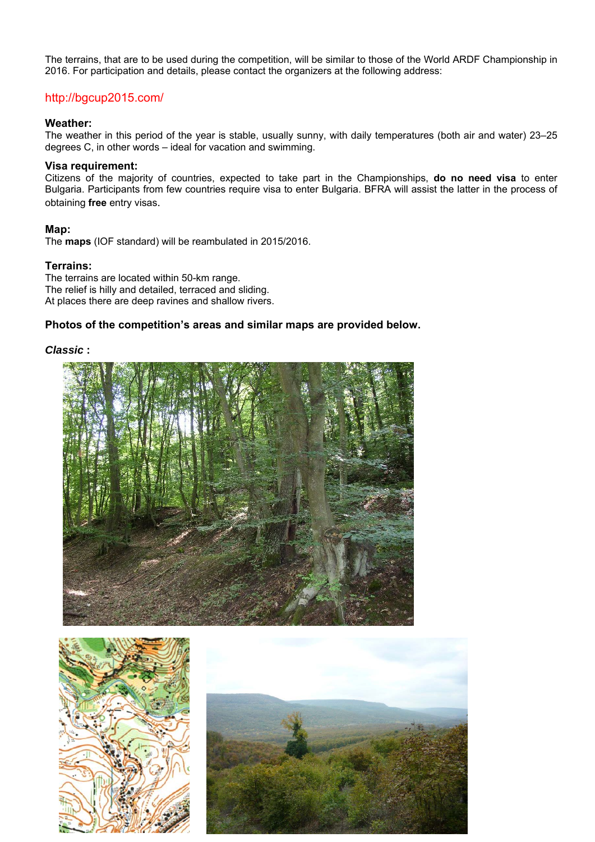The terrains, that are to be used during the competition, will be similar to those of the World ARDF Championship in 2016. For participation and details, please contact the organizers at the following address:

# http://bgcup2015.com/

#### **Weather:**

The weather in this period of the year is stable, usually sunny, with daily temperatures (both air and water) 23–25 degrees C, in other words – ideal for vacation and swimming.

#### **Visa requirement:**

Citizens of the majority of countries, expected to take part in the Championships, **do no need visa** to enter Bulgaria. Participants from few countries require visa to enter Bulgaria. BFRA will assist the latter in the process of obtaining **free** entry visas.

#### **Маp:**

The **maps** (IOF standard) will be reambulated in 2015/2016.

#### **Terrains:**

The terrains are located within 50-km range. The relief is hilly and detailed, terraced and sliding. At places there are deep ravines and shallow rivers.

### **Photos of the competition's areas and similar maps are provided below.**

## *Classic* **:**